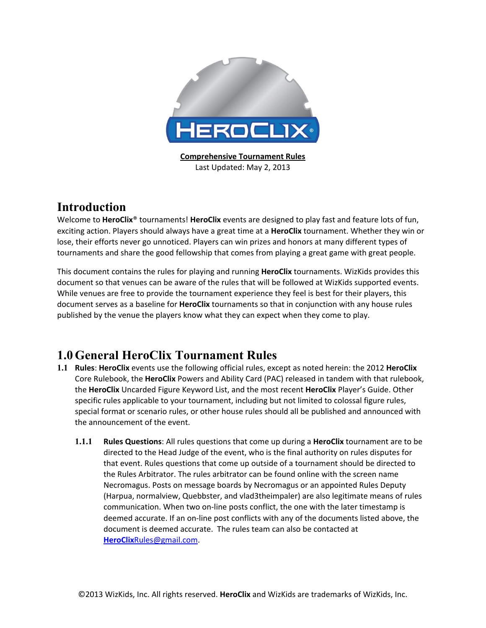

**Comprehensive Tournament Rules** Last Updated: May 2, 2013

### **Introduction**

Welcome to **HeroClix**<sup>®</sup> tournaments! HeroClix events are designed to play fast and feature lots of fun, exciting action. Players should always have a great time at a **HeroClix** tournament. Whether they win or lose, their efforts never go unnoticed. Players can win prizes and honors at many different types of tournaments and share the good fellowship that comes from playing a great game with great people.

This document contains the rules for playing and running HeroClix tournaments. WizKids provides this document so that venues can be aware of the rules that will be followed at WizKids supported events. While venues are free to provide the tournament experience they feel is best for their players, this document serves as a baseline for HeroClix tournaments so that in conjunction with any house rules published by the venue the players know what they can expect when they come to play.

## **1.0 General HeroClix Tournament Rules**

- **1.1 Rules: HeroClix** events use the following official rules, except as noted herein: the 2012 HeroClix Core Rulebook, the **HeroClix** Powers and Ability Card (PAC) released in tandem with that rulebook, the HeroClix Uncarded Figure Keyword List, and the most recent HeroClix Player's Guide. Other specific rules applicable to your tournament, including but not limited to colossal figure rules, special format or scenario rules, or other house rules should all be published and announced with the announcement of the event.
	- **1.1.1 Rules Questions**: All rules questions that come up during a **HeroClix** tournament are to be directed to the Head Judge of the event, who is the final authority on rules disputes for that event. Rules questions that come up outside of a tournament should be directed to the Rules Arbitrator. The rules arbitrator can be found online with the screen name Necromagus. Posts on message boards by Necromagus or an appointed Rules Deputy (Harpua, normalview, Quebbster, and vlad3theimpaler) are also legitimate means of rules communication. When two on-line posts conflict, the one with the later timestamp is deemed accurate. If an on-line post conflicts with any of the documents listed above, the document is deemed accurate. The rules team can also be contacted at **HeroClix**Rules@gmail.com.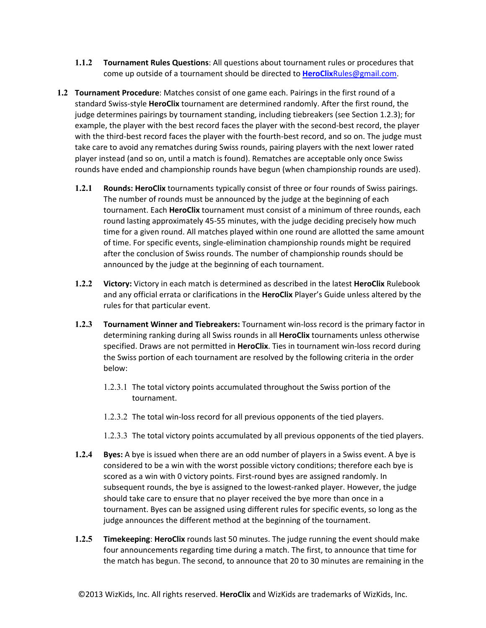- **1.1.2 Tournament Rules Questions**: All questions about tournament rules or procedures that come up outside of a tournament should be directed to **HeroClixRules@gmail.com.**
- **1.2 Tournament Procedure**: Matches consist of one game each. Pairings in the first round of a standard Swiss-style HeroClix tournament are determined randomly. After the first round, the judge determines pairings by tournament standing, including tiebreakers (see Section 1.2.3); for example, the player with the best record faces the player with the second-best record, the player with the third-best record faces the player with the fourth-best record, and so on. The judge must take care to avoid any rematches during Swiss rounds, pairing players with the next lower rated player instead (and so on, until a match is found). Rematches are acceptable only once Swiss rounds have ended and championship rounds have begun (when championship rounds are used).
	- **1.2.1 Rounds: HeroClix** tournaments typically consist of three or four rounds of Swiss pairings. The number of rounds must be announced by the judge at the beginning of each tournament. Each HeroClix tournament must consist of a minimum of three rounds, each round lasting approximately 45-55 minutes, with the judge deciding precisely how much time for a given round. All matches played within one round are allotted the same amount of time. For specific events, single-elimination championship rounds might be required after the conclusion of Swiss rounds. The number of championship rounds should be announced by the judge at the beginning of each tournament.
	- **1.2.2 Victory:** Victory in each match is determined as described in the latest HeroClix Rulebook and any official errata or clarifications in the **HeroClix** Player's Guide unless altered by the rules for that particular event.
	- **1.2.3 Tournament Winner and Tiebreakers:** Tournament win-loss record is the primary factor in determining ranking during all Swiss rounds in all HeroClix tournaments unless otherwise specified. Draws are not permitted in HeroClix. Ties in tournament win-loss record during the Swiss portion of each tournament are resolved by the following criteria in the order below:
		- 1.2.3.1 The total victory points accumulated throughout the Swiss portion of the tournament.
		- 1.2.3.2 The total win-loss record for all previous opponents of the tied players.
		- 1.2.3.3 The total victory points accumulated by all previous opponents of the tied players.
	- **1.2.4 Byes:** A bye is issued when there are an odd number of players in a Swiss event. A bye is considered to be a win with the worst possible victory conditions; therefore each bye is scored as a win with 0 victory points. First-round byes are assigned randomly. In subsequent rounds, the bye is assigned to the lowest-ranked player. However, the judge should take care to ensure that no player received the bye more than once in a tournament. Byes can be assigned using different rules for specific events, so long as the judge announces the different method at the beginning of the tournament.
	- **1.2.5 Timekeeping: HeroClix** rounds last 50 minutes. The judge running the event should make four announcements regarding time during a match. The first, to announce that time for the match has begun. The second, to announce that 20 to 30 minutes are remaining in the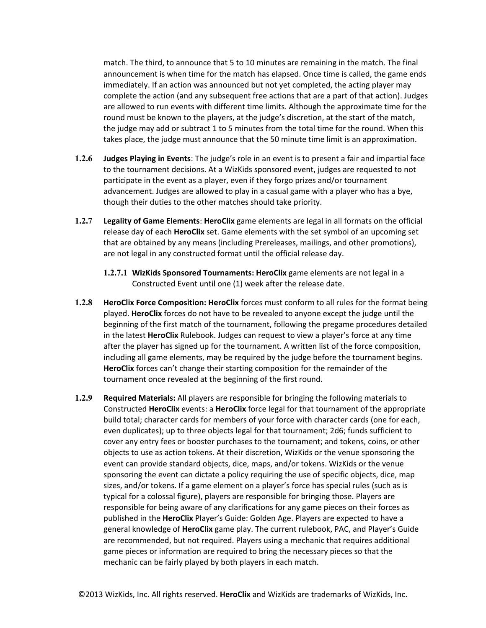match. The third, to announce that 5 to 10 minutes are remaining in the match. The final announcement is when time for the match has elapsed. Once time is called, the game ends immediately. If an action was announced but not yet completed, the acting player may complete the action (and any subsequent free actions that are a part of that action). Judges are allowed to run events with different time limits. Although the approximate time for the round must be known to the players, at the judge's discretion, at the start of the match, the judge may add or subtract 1 to 5 minutes from the total time for the round. When this takes place, the judge must announce that the 50 minute time limit is an approximation.

- **1.2.6 Judges Playing in Events**: The judge's role in an event is to present a fair and impartial face to the tournament decisions. At a WizKids sponsored event, judges are requested to not participate in the event as a player, even if they forgo prizes and/or tournament advancement. Judges are allowed to play in a casual game with a player who has a bye, though their duties to the other matches should take priority.
- **1.2.7 Legality of Game Elements: HeroClix** game elements are legal in all formats on the official release day of each **HeroClix** set. Game elements with the set symbol of an upcoming set that are obtained by any means (including Prereleases, mailings, and other promotions), are not legal in any constructed format until the official release day.
	- **1.2.7.1 WizKids Sponsored Tournaments: HeroClix** game elements are not legal in a Constructed Event until one (1) week after the release date.
- **1.2.8 HeroClix Force Composition: HeroClix** forces must conform to all rules for the format being played. **HeroClix** forces do not have to be revealed to anyone except the judge until the beginning of the first match of the tournament, following the pregame procedures detailed in the latest HeroClix Rulebook. Judges can request to view a player's force at any time after the player has signed up for the tournament. A written list of the force composition, including all game elements, may be required by the judge before the tournament begins. **HeroClix** forces can't change their starting composition for the remainder of the tournament once revealed at the beginning of the first round.
- **1.2.9 Required Materials:** All players are responsible for bringing the following materials to Constructed **HeroClix** events: a **HeroClix** force legal for that tournament of the appropriate build total; character cards for members of your force with character cards (one for each, even duplicates); up to three objects legal for that tournament; 2d6; funds sufficient to cover any entry fees or booster purchases to the tournament; and tokens, coins, or other objects to use as action tokens. At their discretion, WizKids or the venue sponsoring the event can provide standard objects, dice, maps, and/or tokens. WizKids or the venue sponsoring the event can dictate a policy requiring the use of specific objects, dice, map sizes, and/or tokens. If a game element on a player's force has special rules (such as is typical for a colossal figure), players are responsible for bringing those. Players are responsible for being aware of any clarifications for any game pieces on their forces as published in the HeroClix Player's Guide: Golden Age. Players are expected to have a general knowledge of **HeroClix** game play. The current rulebook, PAC, and Player's Guide are recommended, but not required. Players using a mechanic that requires additional game pieces or information are required to bring the necessary pieces so that the mechanic can be fairly played by both players in each match.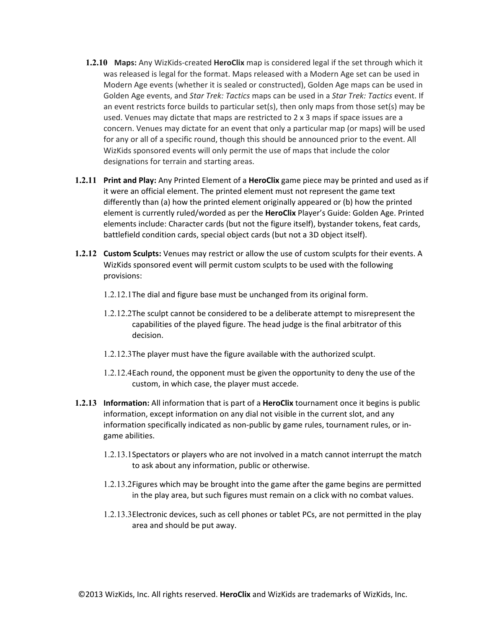- **1.2.10** Maps: Any WizKids-created **HeroClix** map is considered legal if the set through which it was released is legal for the format. Maps released with a Modern Age set can be used in Modern Age events (whether it is sealed or constructed), Golden Age maps can be used in Golden Age events, and *Star Trek: Tactics* maps can be used in a *Star Trek: Tactics* event. If an event restricts force builds to particular set(s), then only maps from those set(s) may be used. Venues may dictate that maps are restricted to  $2 \times 3$  maps if space issues are a concern. Venues may dictate for an event that only a particular map (or maps) will be used for any or all of a specific round, though this should be announced prior to the event. All WizKids sponsored events will only permit the use of maps that include the color designations for terrain and starting areas.
- **1.2.11 Print and Play:** Any Printed Element of a HeroClix game piece may be printed and used as if it were an official element. The printed element must not represent the game text differently than (a) how the printed element originally appeared or (b) how the printed element is currently ruled/worded as per the HeroClix Player's Guide: Golden Age. Printed elements include: Character cards (but not the figure itself), bystander tokens, feat cards, battlefield condition cards, special object cards (but not a 3D object itself).
- **1.2.12 Custom Sculpts:** Venues may restrict or allow the use of custom sculpts for their events. A WizKids sponsored event will permit custom sculpts to be used with the following provisions:
	- 1.2.12.1The dial and figure base must be unchanged from its original form.
	- 1.2.12.2The sculpt cannot be considered to be a deliberate attempt to misrepresent the capabilities of the played figure. The head judge is the final arbitrator of this decision.
	- 1.2.12.3The player must have the figure available with the authorized sculpt.
	- 1.2.12.4Each round, the opponent must be given the opportunity to deny the use of the custom, in which case, the player must accede.
- **1.2.13 Information:** All information that is part of a **HeroClix** tournament once it begins is public information, except information on any dial not visible in the current slot, and any information specifically indicated as non-public by game rules, tournament rules, or ingame abilities.
	- 1.2.13.1Spectators or players who are not involved in a match cannot interrupt the match to ask about any information, public or otherwise.
	- 1.2.13.2Figures which may be brought into the game after the game begins are permitted in the play area, but such figures must remain on a click with no combat values.
	- 1.2.13.3Electronic devices, such as cell phones or tablet PCs, are not permitted in the play area and should be put away.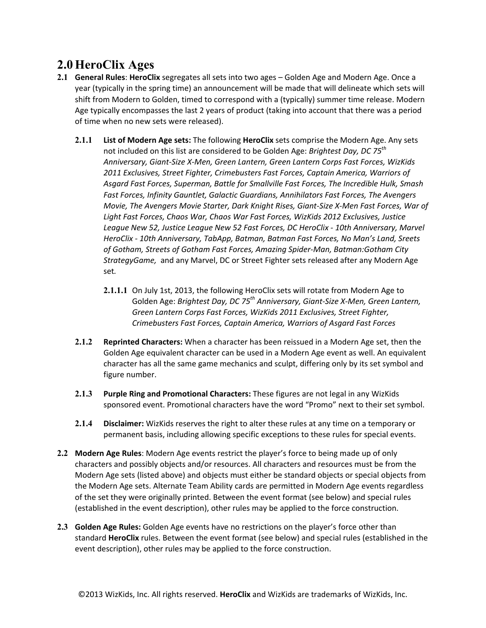# **2.0 HeroClix Ages**

- **2.1 <b>General Rules**: HeroClix segregates all sets into two ages Golden Age and Modern Age. Once a year (typically in the spring time) an announcement will be made that will delineate which sets will shift from Modern to Golden, timed to correspond with a (typically) summer time release. Modern Age typically encompasses the last 2 years of product (taking into account that there was a period of time when no new sets were released).
	- **2.1.1 List of Modern Age sets:** The following **HeroClix** sets comprise the Modern Age. Any sets hot included on this list are considered to be Golden Age: *Brightest Day, DC 75<sup>th</sup> Anniversary,%Giant:Size%X:Men,%Green%Lantern,%Green%Lantern%Corps%Fast%Forces,%WizKids%* 2011 Exclusives, Street Fighter, Crimebusters Fast Forces, Captain America, Warriors of Asgard Fast Forces, Superman, Battle for Smallville Fast Forces, The Incredible Hulk, Smash Fast Forces, Infinity Gauntlet, Galactic Guardians, Annihilators Fast Forces, The Avengers *Movie,%The%Avengers%Movie%Starter,%Dark%Knight%Rises,%Giant:Size%X:Men%Fast%Forces,%War%of%* Light Fast Forces, Chaos War, Chaos War Fast Forces, WizKids 2012 Exclusives, Justice *League%New%52,%Justice%League New%52%Fast%Forces,%DC%HeroClix%:%10th%Anniversary, Marvel% HeroClix%:%10th%Anniversary,%TabApp,%Batman,%Batman%Fast%Forces,%No%Man's%Land,%Sreets% of%Gotham,%Streets%of%Gotham%Fast%Forces,%Amazing%Spider:Man,%Batman:Gotham%City% StrategyGame,* and any Marvel, DC or Street Fighter sets released after any Modern Age set*.*
		- **2.1.1.1** On July 1st, 2013, the following HeroClix sets will rotate from Modern Age to Golden Age: Brightest Day, DC 75<sup>th</sup> Anniversary, Giant-Size X-Men, Green Lantern, *Green%Lantern%Corps%Fast%Forces,%WizKids%2011%Exclusives,%Street%Fighter,% Crimebusters%Fast%Forces,%Captain%America,%Warriors%of%Asgard%Fast%Forces*
	- **2.1.2 Reprinted Characters:** When a character has been reissued in a Modern Age set, then the Golden Age equivalent character can be used in a Modern Age event as well. An equivalent character has all the same game mechanics and sculpt, differing only by its set symbol and figure number.
	- **2.1.3** Purple Ring and Promotional Characters: These figures are not legal in any WizKids sponsored event. Promotional characters have the word "Promo" next to their set symbol.
	- **2.1.4 Disclaimer:** WizKids reserves the right to alter these rules at any time on a temporary or permanent basis, including allowing specific exceptions to these rules for special events.
- **2.2 Modern Age Rules**: Modern Age events restrict the player's force to being made up of only characters and possibly objects and/or resources. All characters and resources must be from the Modern Age sets (listed above) and objects must either be standard objects or special objects from the Modern Age sets. Alternate Team Ability cards are permitted in Modern Age events regardless of the set they were originally printed. Between the event format (see below) and special rules (established in the event description), other rules may be applied to the force construction.
- **2.3 Golden Age Rules:** Golden Age events have no restrictions on the player's force other than standard **HeroClix** rules. Between the event format (see below) and special rules (established in the event description), other rules may be applied to the force construction.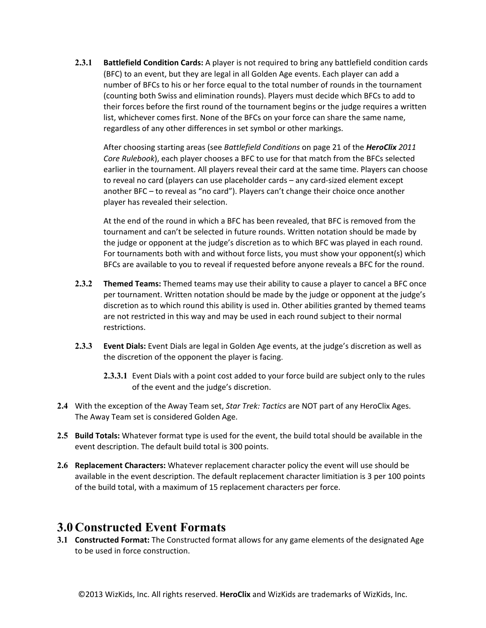**2.3.1 <b>Battlefield Condition Cards:** A player is not required to bring any battlefield condition cards (BFC) to an event, but they are legal in all Golden Age events. Each player can add a number of BFCs to his or her force equal to the total number of rounds in the tournament (counting both Swiss and elimination rounds). Players must decide which BFCs to add to their forces before the first round of the tournament begins or the judge requires a written list, whichever comes first. None of the BFCs on your force can share the same name, regardless of any other differences in set symbol or other markings.

After choosing starting areas (see Battlefield Conditions on page 21 of the **HeroClix** 2011 *Core Rulebook*), each player chooses a BFC to use for that match from the BFCs selected earlier in the tournament. All players reveal their card at the same time. Players can choose to reveal no card (players can use placeholder cards – any card-sized element except another BFC - to reveal as "no card"). Players can't change their choice once another player has revealed their selection.

At the end of the round in which a BFC has been revealed, that BFC is removed from the tournament and can't be selected in future rounds. Written notation should be made by the judge or opponent at the judge's discretion as to which BFC was played in each round. For tournaments both with and without force lists, you must show your opponent(s) which BFCs are available to you to reveal if requested before anyone reveals a BFC for the round.

- **2.3.2** Themed Teams: Themed teams may use their ability to cause a player to cancel a BFC once per tournament. Written notation should be made by the judge or opponent at the judge's discretion as to which round this ability is used in. Other abilities granted by themed teams are not restricted in this way and may be used in each round subject to their normal restrictions.
- **2.3.3 Event Dials:** Event Dials are legal in Golden Age events, at the judge's discretion as well as the discretion of the opponent the player is facing.
	- **2.3.3.1** Event Dials with a point cost added to your force build are subject only to the rules of the event and the judge's discretion.
- **2.4** With the exception of the Away Team set, Star Trek: Tactics are NOT part of any HeroClix Ages. The Away Team set is considered Golden Age.
- **2.5 Build Totals:** Whatever format type is used for the event, the build total should be available in the event description. The default build total is 300 points.
- **2.6 Replacement Characters:** Whatever replacement character policy the event will use should be available in the event description. The default replacement character limitiation is 3 per 100 points of the build total, with a maximum of 15 replacement characters per force.

### **3.0 Constructed Event Formats**

**3.1 Constructed Format:** The Constructed format allows for any game elements of the designated Age to be used in force construction.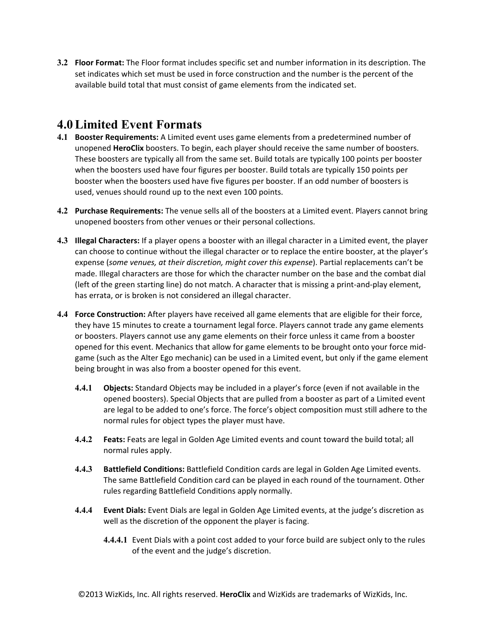**3.2 Floor Format:** The Floor format includes specific set and number information in its description. The set indicates which set must be used in force construction and the number is the percent of the available build total that must consist of game elements from the indicated set.

### **4.0Limited Event Formats**

- **4.1 Booster Requirements:** A Limited event uses game elements from a predetermined number of unopened HeroClix boosters. To begin, each player should receive the same number of boosters. These boosters are typically all from the same set. Build totals are typically 100 points per booster when the boosters used have four figures per booster. Build totals are typically 150 points per booster when the boosters used have five figures per booster. If an odd number of boosters is used, venues should round up to the next even 100 points.
- **4.2 Purchase Requirements:** The venue sells all of the boosters at a Limited event. Players cannot bring unopened boosters from other venues or their personal collections.
- **4.3 Illegal Characters:** If a player opens a booster with an illegal character in a Limited event, the player can choose to continue without the illegal character or to replace the entire booster, at the player's expense (some venues, at their discretion, might cover this expense). Partial replacements can't be made. Illegal characters are those for which the character number on the base and the combat dial (left of the green starting line) do not match. A character that is missing a print-and-play element, has errata, or is broken is not considered an illegal character.
- **4.4 Force Construction:** After players have received all game elements that are eligible for their force, they have 15 minutes to create a tournament legal force. Players cannot trade any game elements or boosters. Players cannot use any game elements on their force unless it came from a booster opened for this event. Mechanics that allow for game elements to be brought onto your force midgame (such as the Alter Ego mechanic) can be used in a Limited event, but only if the game element being brought in was also from a booster opened for this event.
	- **4.4.1 Objects:** Standard Objects may be included in a player's force (even if not available in the opened boosters). Special Objects that are pulled from a booster as part of a Limited event are legal to be added to one's force. The force's object composition must still adhere to the normal rules for object types the player must have.
	- **4.4.2 Feats:** Feats are legal in Golden Age Limited events and count toward the build total; all normal rules apply.
	- **4.4.3 Battlefield Conditions:** Battlefield Condition cards are legal in Golden Age Limited events. The same Battlefield Condition card can be played in each round of the tournament. Other rules regarding Battlefield Conditions apply normally.
	- **4.4.4 Event Dials:** Event Dials are legal in Golden Age Limited events, at the judge's discretion as well as the discretion of the opponent the player is facing.
		- **4.4.4.1** Event Dials with a point cost added to your force build are subject only to the rules of the event and the judge's discretion.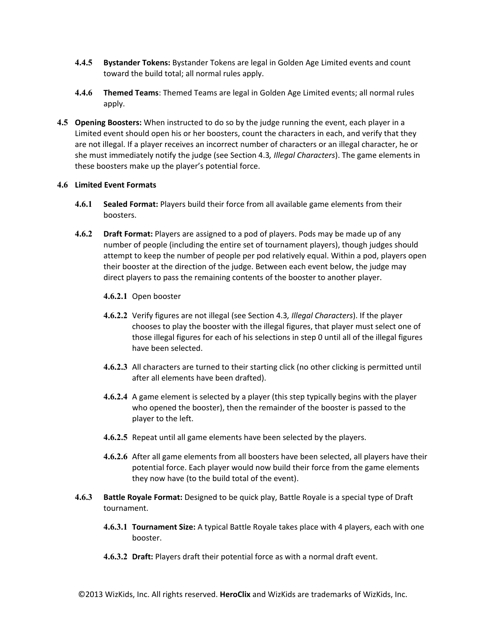- **4.4.5 Bystander Tokens:** Bystander Tokens are legal in Golden Age Limited events and count toward the build total; all normal rules apply.
- **4.4.6 Themed Teams**: Themed Teams are legal in Golden Age Limited events; all normal rules apply.
- **4.5 Opening Boosters:** When instructed to do so by the judge running the event, each player in a Limited event should open his or her boosters, count the characters in each, and verify that they are not illegal. If a player receives an incorrect number of characters or an illegal character, he or she must immediately notify the judge (see Section 4.3, *Illegal Characters*). The game elements in these boosters make up the player's potential force.

#### **4.6 Limited Event Formats**

- **4.6.1 Sealed Format:** Players build their force from all available game elements from their boosters.
- **4.6.2 Draft Format:** Players are assigned to a pod of players. Pods may be made up of any number of people (including the entire set of tournament players), though judges should attempt to keep the number of people per pod relatively equal. Within a pod, players open their booster at the direction of the judge. Between each event below, the judge may direct players to pass the remaining contents of the booster to another player.
	- 4.6.2.1 Open booster
	- **4.6.2.2** Verify figures are not illegal (see Section 4.3, *Illegal Characters*). If the player chooses to play the booster with the illegal figures, that player must select one of those illegal figures for each of his selections in step 0 until all of the illegal figures have been selected.
	- **4.6.2.3** All characters are turned to their starting click (no other clicking is permitted until after all elements have been drafted).
	- **4.6.2.4** A game element is selected by a player (this step typically begins with the player who opened the booster), then the remainder of the booster is passed to the player to the left.
	- **4.6.2.5** Repeat until all game elements have been selected by the players.
	- **4.6.2.6** After all game elements from all boosters have been selected, all players have their potential force. Each player would now build their force from the game elements they now have (to the build total of the event).
- **4.6.3 Battle Royale Format:** Designed to be quick play, Battle Royale is a special type of Draft tournament.
	- **4.6.3.1 Tournament Size:** A typical Battle Royale takes place with 4 players, each with one booster.
	- **4.6.3.2 Draft:** Players draft their potential force as with a normal draft event.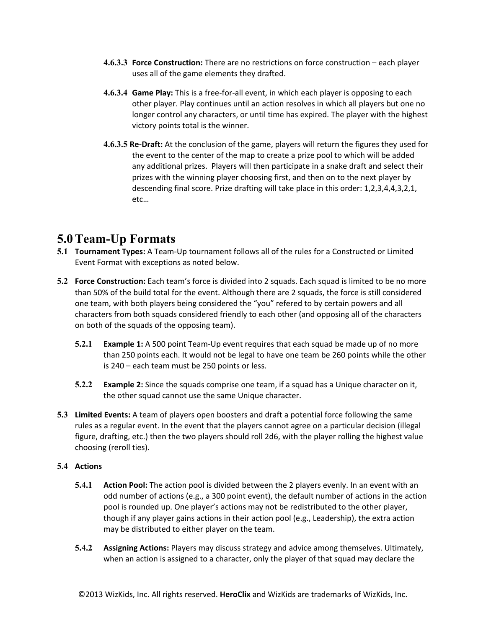- **4.6.3.3 Force Construction:** There are no restrictions on force construction each player uses all of the game elements they drafted.
- **4.6.3.4 Game Play:** This is a free-for-all event, in which each player is opposing to each other player. Play continues until an action resolves in which all players but one no longer control any characters, or until time has expired. The player with the highest victory points total is the winner.
- **4.6.3.5 Re-Draft:** At the conclusion of the game, players will return the figures they used for the event to the center of the map to create a prize pool to which will be added any additional prizes. Players will then participate in a snake draft and select their prizes with the winning player choosing first, and then on to the next player by descending final score. Prize drafting will take place in this order:  $1,2,3,4,4,3,2,1$ , etc…

## **5.0Team-Up Formats**

- **5.1 Tournament Types:** A Team-Up tournament follows all of the rules for a Constructed or Limited Event Format with exceptions as noted below.
- 5.2 **Force Construction:** Each team's force is divided into 2 squads. Each squad is limited to be no more than 50% of the build total for the event. Although there are 2 squads, the force is still considered one team, with both players being considered the "you" refered to by certain powers and all characters from both squads considered friendly to each other (and opposing all of the characters on both of the squads of the opposing team).
	- **5.2.1 Example 1:** A 500 point Team-Up event requires that each squad be made up of no more than 250 points each. It would not be legal to have one team be 260 points while the other is  $240$  – each team must be 250 points or less.
	- **5.2.2 Example 2:** Since the squads comprise one team, if a squad has a Unique character on it, the other squad cannot use the same Unique character.
- **5.3 Limited Events:** A team of players open boosters and draft a potential force following the same rules as a regular event. In the event that the players cannot agree on a particular decision (illegal figure, drafting, etc.) then the two players should roll 2d6, with the player rolling the highest value choosing (reroll ties).

#### **5.4 Actions**

- **5.4.1 Action Pool:** The action pool is divided between the 2 players evenly. In an event with an odd number of actions (e.g., a 300 point event), the default number of actions in the action pool is rounded up. One player's actions may not be redistributed to the other player, though if any player gains actions in their action pool (e.g., Leadership), the extra action may be distributed to either player on the team.
- **5.4.2 Assigning Actions:** Players may discuss strategy and advice among themselves. Ultimately, when an action is assigned to a character, only the player of that squad may declare the